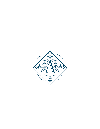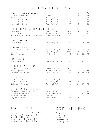# WINE BY THE GLASS

| <b>CHAMPAGNE / SPARKLING</b><br>La Gioiosa Prosecco Brut<br>Nicolas Feuillatte Brut<br>Yellowhawk Bubbles Rosé<br>Yellowhawk Bubbles White<br>Yellowhawk Bubbles Red | Veneto, IT<br>Chouilly, FR<br>Walla Walla, WA<br>Walla Walla, WA<br>Walla Walla, WA | N.V.<br>N.V.<br>N.V.<br>N.V.<br>N.V. | 5 <sub>oz</sub><br>14<br>22<br>12 <sup>°</sup><br>12 <sup>°</sup><br>12 | $\overline{\phantom{a}}$<br>$\overline{\phantom{a}}$<br>$\bar{\phantom{a}}$<br>$\bar{\phantom{a}}$<br>$\frac{1}{2}$ | <b>BTL</b><br>62<br>98<br>48<br>48<br>48 |
|----------------------------------------------------------------------------------------------------------------------------------------------------------------------|-------------------------------------------------------------------------------------|--------------------------------------|-------------------------------------------------------------------------|---------------------------------------------------------------------------------------------------------------------|------------------------------------------|
| ROSÉ & ROAD LESS TRAVELED WHITES<br>Fire & Vine 'Mission Hills' Rosé<br>Eroica Riesling<br>Mark Ryan Viognier 'Red Willow/Olsen Vineyard Yakima Valley, WA           | Walla Walla, WA<br>Columbia Valley, WA                                              | 2020<br>2020<br>2021                 | 6 <sub>oz</sub><br>$12 \overline{ }$<br>12 <sup>°</sup><br>22           | 9 <sub>oz</sub><br>16<br>16<br>27                                                                                   | <b>BTL</b><br>46<br>46<br>70             |
| SAUVIGNON BLANC<br>Peter Yealands                                                                                                                                    | Marlborough, NZ                                                                     | 2021                                 | 12                                                                      | 16                                                                                                                  | 46                                       |
| CHARDONNAY<br>Chateau Ste Michelle 'Indian Wells'<br>Cakebread<br>Domaine Vocoret                                                                                    | Columbia Valley, WA<br>Napa Valley, CA<br>Chablis, FR                               | 2020<br>2020<br>2018                 | 13<br>25<br>26                                                          | 17<br>32<br>33                                                                                                      | 50<br>95<br>98                           |
| PINOT NOIR<br>Angela Vineyards                                                                                                                                       | Willamette Valley, OR                                                               | 2017                                 | 17                                                                      | 23                                                                                                                  | 66                                       |
| <b>CABERNET SAUVIGNON</b><br>El Gaucho '25 <sup>th</sup> Anniversary'<br>Efeste 'Big Papa'<br>Crossbarn by Paul Hobbs                                                | Washington State<br>Columbia Valley, WA<br>Napa Valley, CA                          | N.V.<br>2019<br>2019                 | 16<br>24<br>26                                                          | 21<br>31<br>33                                                                                                      | 62<br>94<br>102                          |
| RED BLENDS<br>DeLille Cellars 'D2'<br>Basel Cellars Estate 'Merriment'<br>Spring Valley 'Frederick'                                                                  | Columbia Valley, WA<br>Walla Walla, WA<br>Walla Walla, WA                           | 2019<br>2016<br>2016                 | 22<br>16<br>24                                                          | 28<br>21<br>31                                                                                                      | 86<br>62<br>95                           |
| OTHER SINGLE VARIETALS<br>Basel Cellars Estate Cabernet Franc<br>Coudoulet de Beaucastel<br>Produttori 'Nebbiolo'<br>Luigi Bosca Malbec                              | Walla Walla, WA<br>Côtes du Rhône, FR<br>Piedmont, IT<br>Mendoza, AR                | 2019<br>2019<br>2019<br>2019         | 15<br>22<br>16<br>18                                                    | 20<br>28<br>21<br>24                                                                                                | 58<br>84<br>62<br>70                     |

# DRAFT BEER

Georgetown 'Manny's' Pale Ale 8 Bainbridge Brewery Kolsh 8 Crossbuck Hefeweizen 8 Georgetown 'Bodhizafa' IPA 8 Airways 'Jumbo Juice' IPA 8

## BOTTLED BEER

Coors 7 Coors Light 7 Heineken 7 Paulaner N/A 7 Rotating Cider 7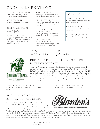# COCKTAIL CREATIONS

LOST IN THE MARKET 16 house vodka, lime juice, lavender syrup, italicus, activated charcoal

REVELERS MULE 16 wheatley vodka, bitters, ginger beer, lime juice

BOISSON VIOLETTE 18 empress gin, st. germain, lemon, lavender, egg white

SUMMER OF '75 22 oxley gin, st. germain, rose water simple syrup, lemon juice, yellowhawk white bubbles, citrus aroma flavor blaster tableside preparation

MILES AWAY 18 house blanco tequila, italicus, verjus, chamomile tea syrup, strawberry puree

A P PALACHIAN FOG 24 buffalo trace, st. germain, cointreau, smoked tableside preparation, cherry wood chips

212 BARREL-AGED MANHATTAN 18 sazerac rye whiskey, carpano antica, orange bitters, cherry, orange twist

AERLUME ESPRESSO BOULEVARDIER 17 buffalo trace, campari, carpano antica sweet vermouth, espresso cello

## **MOCKTAILS**

SORBET SMASH 13 hibiscus tea, seasonal syrup, blackberry lemon sorbet, lemon

**CUCUMBER FRESH 12** muddled cucumber, cilantro, mint, lime, agave, soda

PIKE PLACE SIPPER 11 lavender, lime, rose water, orange peel

Featured Spirits



### BUFFALO TRACE KENTUCKY STRAIGHT BOURBON WHISKEY

Ancient buffalo carved paths through the wilderness that led American pioneers and explorers to new frontiers. One such trail led to the banks of the Kentucky River where Buffalo Trace Distillery has been making bourbon whiskey the same way for more than 200 years. In tribute to the mighty buffalo and the rugged, independent spirit of the pioneers who followed them, we created our signature Buffalo Trace Kentucky Straight Bourbon Whiskey. This deep amber whiskey has a complex aroma of vanilla, mint and molasses. Pleasantly sweet to the taste with notes of brown sugar and spice that give way to oak, toffee, dark fruit and anise. This whiskey finishes long and smooth with serious depth.

#### AERLUME BOULEVARDIER 16 buffalo trace, carpano antica sweet vermouth, campari,

A ERLUME OLD FASHIONED 16 buffalo trace bourbon, seasonal syrup, bitters

orange peel

### EL GAUCHO SINGLE BARREL PRIVATE SELECT

Created in 1984 by Master Distiller, Elmer T. Lee, and named after Albert B Blanton, Blanton's was the worlds introduction to Single Barrel Bourbon. A reference to Blanton's habit of throwing parties with his closest friends and bringing out his favorite barrels.



THE ORIGINAL SINGLE BARREL BOURBON WHISKEY

This bottling of Blanton's Single Barrel is exclusive to Fire & Vine Hospitality restaurants, selected by our team for its pronounced flavors. This Single Barrel was individually selected, Number 177, distilled on April 30<sup>th</sup>, 2015, filtered and bottled by hand at 93 proof. A reflection of strength, flavor and patience, it's a nod to the past while looking to the future - a value we hold dear at our restaurants. We hope you enjoy it as much as we have enjoyed selecting it for you.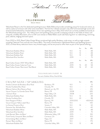



Yellowhawk Resort is the first dedicated sparkling house in Walla Walla and provides something unique for locals and visitors, as well as a place of inclusion with other area winemakers. The first four releases arrived in July 2021 and received high scores and several awards followed by a limited release of two new sparkling wines in May 2022 which are currently available exclusively at the Yellowhawk tasting room. The hilltop resort and sparkling winery provide a sweeping outlook on the fields of wheat, lush vineyards, and Blue Mountains, all on an 84-acre retreat on Walla Walla's south side featuring farm-to-table dining, swimming pool, cabanas, lodging and event space.

From 2002 to 2021, Basel Cellars Estate Winery produced high quality Bordeaux-style wines, as well as single varietals including Cabernet Franc and old vine Chenin Blanc. The winery transitioned to Yellowhawk Resort and Sparkling House in 2021, so these library selections have a very limited supply, and we are proud to offer them as part of this special offering.

|                                            |                 |      | 5 <sub>oz</sub> | 9 <sub>07</sub>          | BTL. |
|--------------------------------------------|-----------------|------|-----------------|--------------------------|------|
| Yellowhawk Bubbles White                   | Walla Walla, WA | N.V. | 12              | $\overline{\phantom{a}}$ | 48   |
| Yellowhawk Bubbles Rosé                    | Walla Walla, WA | N.V. | 12              | $\overline{\phantom{a}}$ | 48   |
| Yellowhawk Bubbles Red                     | Walla Walla, WA | N.V. | 12              | $\overline{\phantom{a}}$ | 48   |
| Yellowhawk Brut Semillon                   | Walla Walla, WA | 2019 |                 | $\overline{\phantom{a}}$ | 75   |
|                                            |                 |      | 6 <sub>oz</sub> | 9 <sub>oz</sub>          | BTL  |
| Basel Cellars Estate '2901' White Blend    | Walla Walla, WA | 2019 |                 | $\overline{\phantom{m}}$ | 45   |
| Basel Cellars Estate Cabernet Franc        | Walla Walla, WA | 2019 | 15              | 20                       | 58   |
| Basel Cellars Estate 'Merriment' Red Blend | Walla Walla, WA | 2016 | 16              | 21                       | 62   |
|                                            |                 |      |                 |                          |      |

#### Y ELLOWHAWK FLIGHT 18

3oz each, Bubbles White, Rosé & Red

| CHAMPAGNE / SPARKLING                   |                       |           | 5 <sub>oz</sub>          |                          | <b>BTL</b> |
|-----------------------------------------|-----------------------|-----------|--------------------------|--------------------------|------------|
| Amelia Crémant de Bordeaux Brut Rosé    | Bordeaux, FR          | N.V.      | $\equiv$                 |                          | 72         |
| Nicolas Feuillatte Brut Rosé            | Chouilly, FR          | N.V.      | $\overline{\phantom{a}}$ |                          | 170        |
| Billecart Salmon Brut Reserve Rosé      | Mareuil-sur-Ay, FR    | N.V.      | $\equiv$                 |                          | 215        |
| Veuve Clicquot 'La Grande Dame' Rosé    | Reims, FR             | 2008      |                          |                          | 695        |
| J Schram Rosé                           | Napa Valley, CA       | 2008      |                          |                          | 225        |
| Yellowhawk Bubbles Rosé                 | Walla Walla, WA       | N.V.      | 12                       | $\overline{\phantom{0}}$ | 48         |
| Nicolas Feuillatte Brut                 | Chouilly, FR          | N.V.      | 22                       |                          | 98         |
| Dom Perignon P1 Brut                    | Epernay, FR           | 2010/2012 |                          |                          | $-400/425$ |
| Veuve Clicquot 'Yellow Label' Brut      | Reims, FR             | N.V.      | $\equiv$                 |                          | 140        |
| La Gioiosa Prosecco Brut                | Veneto, IT            | N.V.      | 14                       |                          | 62         |
| Domaine Ste. Michelle Brut              | Columbia Valley, WA   | N.V.      | $\overline{\phantom{a}}$ |                          | 40         |
| Yellowhawk Bubbles White                | Walla Walla, WA       | 2020      | 12                       |                          | 48         |
| Yellowhawk Brut Semillon                | Walla Walla, WA       | 2019      | $\equiv$                 |                          | 75         |
| Lytle Barnett 'Blanc de Blanc'          | Willamette Valley, OR | 2015      |                          |                          | 165        |
| Frank Family Vineyards 'Blanc de Blanc' | Carneros, CA          | 2015      | $\overline{\phantom{a}}$ |                          | 102        |
| Schramsberg 'Blanc de Blanc'            | Napa, CA              | 2017      | $\overline{\phantom{a}}$ |                          | 85         |
| Ruinart 'Blanc de Blanc'                | Reims, FR             | N.V.      | $\equiv$                 |                          | 175        |
| Yellowhawk Bubbles Red                  | Columbia Valley, WA   | N.V.      | 12                       |                          | 48         |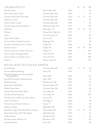# $\text{CHARDONNAY}$  60z 90z BTL

| Côte Bonneville<br>Yakima Valley, WA<br>2016<br>2020<br>Columbia Valley, WA<br>Columbia Valley, WA<br>2020 | 13 | 17<br>$\overline{\phantom{a}}$ | 99<br>65<br>50<br>65<br>66 |
|------------------------------------------------------------------------------------------------------------|----|--------------------------------|----------------------------|
| Buona Notte 'Panna Cotta'<br>Chateau Ste Michelle 'Indian Wells'                                           |    |                                |                            |
|                                                                                                            |    |                                |                            |
|                                                                                                            |    |                                |                            |
| 2019<br>Sparkman 'Lumiere'<br>Columbia Valley, WA                                                          |    |                                |                            |
| Tranche 'Celilo Vineyard'<br>2018<br>Columbia Valley, WA                                                   |    |                                |                            |
| 2017<br>Domaine Serene 'Evenstad Reserve'<br>Willamette Valley, OR                                         |    |                                | 135                        |
| 2020<br>Cakebread<br>Napa Valley, CA                                                                       | 25 | 32                             | 95                         |
| 2017<br>Panthera<br>Russian River Valley, CA                                                               |    |                                | 71                         |
| 2016<br>Sonoma County, CA<br>Jordan                                                                        |    |                                | 85                         |
| Neyers 304 unoaked<br>2017<br>Sonoma, CA                                                                   |    |                                | 85                         |
| Drouhin 'Pouilly-Vinzelles' Grand Vin<br>2017<br>Borgougne, FR                                             |    |                                | 58                         |
| Domaine Louis Moreau 1er Cru 'Vaillons'<br>Chablis, FR<br>2018                                             |    | $\overline{\phantom{a}}$       | 135                        |
| Chablis, FR<br>2018<br>Domaine Vocoret                                                                     | 26 | 33                             | 98                         |
| Roland Lavantureux 'Vaudesir' Grand Cru<br>Chablis, FR<br>2016                                             |    | $\overline{\phantom{a}}$       | 200                        |
| Côte-d'Or, FR<br>Domain Leflaive 'Bourgogne Blanc'<br>2018                                                 |    | $\overline{\phantom{a}}$       | 185                        |
| Domain Leflaive 'Le Clavoillon' 1er Cru<br>Côte-d'Or, FR<br>2018                                           |    | $\overline{\phantom{a}}$       | 485                        |
| Western Cape, SA<br>2015<br>Capensis                                                                       |    |                                | 150                        |
| ROAD<br>ESS TRAVELED<br>WП                                                                                 |    |                                |                            |

#### VAD LESS IKAVELED WHIIES

| Eroica Reisling                                            | Columbia Valley, WA | 2020 | 12 | 16                       | 46  |
|------------------------------------------------------------|---------------------|------|----|--------------------------|-----|
| Domaine Weinbach Riesling                                  | Alsace, FR          | 2018 |    |                          | 79  |
| Dönnhoff 'Niederhäuser Hermannshöhle'<br>Riesling Spätlese | Nahe, GER           | 2014 |    | $\overline{\phantom{a}}$ | 145 |
| Dönnhoff 'Tonschiefer' Riesling Trocken                    | Nahe, GER           | 2018 |    |                          | 70  |
| DeLille Roussane                                           | Red Mountain, WA    | 2020 |    |                          | 95  |
| Basel Cellars '2901 White'                                 | Columbia Valley, WA | 2019 |    |                          | 45  |
| DeLille Chaleur Blanc                                      | Columbia Valley, WA | 2020 |    | $\overline{\phantom{a}}$ | 64  |
| Chateau Pierre Bise Chenin Blanc                           | Loire Valley, FR    | 2018 |    | $\overline{\phantom{a}}$ | 55  |
| Clos de la Couée de Serrant                                | Loire Valley, FR    | 1998 |    | $\equiv$                 | 420 |
| Domaine Huet 'Le Mont' Sec' Chenin Blanc                   | Vouvray, FR         | 2019 |    | $\overline{\phantom{m}}$ | 75  |
| Terlan 'Pinot Bianco'                                      | Alto Adige, IT      | 2020 |    | $\overline{\phantom{a}}$ | 45  |
| Pieropan Souave Classico Calvarino                         | Veneto, IT          | 2020 |    | $\equiv$                 | 85  |
| a'Maurice Viognier                                         | Walla Walla, WA     | 2018 |    | $\overline{\phantom{m}}$ | 68  |
| Mark Ryan Viogner 'Red Willow/Olsen Vineyard'              | Yakima Valley, WA   | 2021 | 22 | 27                       | 70  |
| Basel Cellars Estate '2901' White Blend                    | Walla Walla, WA     | 2019 |    |                          | 45  |
| Fillaboa Albariño                                          | Rías Baixas, ESP    | 2020 |    | $\overline{\phantom{a}}$ | 45  |
| Raul Perez 'Atalier' Albariño 1.5L                         | Rías Baixas, ESP    | 2018 |    | $\overline{\phantom{a}}$ | 135 |
| Lyrarakis Assyrtiko                                        | Crete, GR           | 2020 |    |                          | 48  |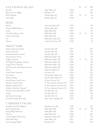| SAUVIGNON BLANC                       |                              |      | 6 <sub>oz</sub> | 9 <sub>oz</sub>          | <b>BTL</b> |
|---------------------------------------|------------------------------|------|-----------------|--------------------------|------------|
| Emmolo                                | Napa Valley, CA              | 2020 |                 | $\overline{\phantom{0}}$ | 55         |
| Blanc de Lynch-Bages                  | Bordeaux, FR                 | 2017 |                 | $\overline{\phantom{a}}$ | 160        |
| Peter Yealands                        | Marlborough, NZ              | 2021 | 12              | 16                       | 46         |
| Cloudy Bay                            | Marlborough, NZ              | 2020 |                 |                          | 75         |
| ROSÉ                                  |                              |      |                 |                          |            |
| DeLille                               | Columbia Valley, WA          | 2021 |                 |                          | 80         |
| Efeste 'Oldfield Estate'              | Yakima Valley, WA            | 2021 |                 |                          | 50         |
| Amavi                                 | Walla Walla, WA              | 2019 |                 |                          | 45         |
| Fire & Vine 'Mission Hills'           | Walla Walla, WA              | 2020 | 12              | 16                       | 46         |
| Tranche 'Pink Pape'                   | Walla Walla, WA              | 2021 |                 |                          | 55         |
| Toil                                  | Willamette Valley, OR        | 2020 |                 |                          | 73         |
| Miraval                               | Cotes de Provence, FR        | 2020 |                 |                          | 52         |
| PINOT NOIR                            |                              |      |                 |                          |            |
| Alexana 'Revana Vineyard'             | Dundee Hills, OR             | 2017 |                 |                          | 130        |
| Domaine Drouhin                       | Dundee Hills, OR             | 2019 |                 |                          | 105        |
| Domaine Drouhin 'Laurene'             | Dundee Hills, OR             | 2018 |                 |                          | 170        |
| Alexana Terrior Series                | Willamette Valley, OR        | 2019 |                 | $\overline{\phantom{a}}$ | 62         |
| Angela Vineyards                      | Willamette Valley, OR        | 2017 | 17              | 23                       | 66         |
| Ken Wright 'Guadalupe Vineyard'       | Willamette Valley, OR        | 2018 |                 | $\overline{a}$           | 145        |
| Lingua Franca 'The Plow'              | Willamette Valley, OR        | 2019 |                 | $\overline{\phantom{a}}$ | 160        |
| Rex Hill 'Jacob-Hart Estate Vineyard' | Willamette Valley, OR        | 2018 |                 | $\overline{\phantom{0}}$ | 165        |
| Davies                                | Anderson Valley, CA          | 2018 |                 | $\overline{\phantom{0}}$ | 165        |
| Frank Family Vineyards                | Carneros, CA                 | 2019 |                 | $\overline{\phantom{a}}$ | 105        |
| Paul Hobbs                            | Russian River Valley, CA     | 2019 |                 |                          | 145        |
| Williams Selyem                       | Russian River Valley, CA     | 2020 |                 |                          | 250        |
| Kosta Browne 'Gap's Crown'            | Sonoma County, CA            | 2018 |                 |                          | 315        |
| Wayfarer 'Golden Mean'                | Ft. Ross-Seaview, Sonoma, CA | 2013 |                 |                          | 240        |
| Wayfarer 'Mother Rock'                | Ft. Ross-Seaview, Sonoma, CA | 2013 |                 |                          | 240        |
| Wayfarer 'Wayfarer Vineyard'          | Ft. Ross-Seaview, Sonoma, CA | 2013 |                 |                          | 240        |
| Domaine de la Côte 'Blooms Field'     | Sta. Rita Hills, CA          | 2018 |                 |                          | 200        |
| Sandhi                                | Sta. Rita Hills, CA          | 2019 |                 |                          | 90         |
| Sea Smoke 'Southing'                  | Sta. Rita Hills, CA          | 2019 |                 |                          | 215        |
| Domaine Faiveley 'Mercurey'           | Nuits-Saint-Georges, FR      | 2019 |                 |                          | 80         |
| CABERNET FRANC                        |                              |      |                 |                          |            |
| Parabellum by Force Majeure           | Red Mountain, WA             | 2016 |                 |                          | 150        |

| Parabellum by Force Majeure  | Red Mountain, WA      | 2016 |    |    | 150  |
|------------------------------|-----------------------|------|----|----|------|
| <b>Basel Cellars Estate</b>  | Walla Walla, WA       | 2019 | 15 | 20 | 58   |
| Spring Valley 'Katherine'    | Walla Walla, WA       | 2014 |    |    | 95   |
| Tranche                      | Walla Walla, WA       | 2018 |    |    | 100  |
| Limited Addition 'Old Vines' | Willamette Valley, OR | 2019 |    |    | 11.5 |
| Dalle Valle 'Maya'           | Napa Valley, CA       | 2011 |    |    | 750  |
| Gran Enemigo 'Agrelo'        | Mendoza, AR           | 2014 |    |    | 270  |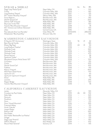| SYRAH & SHIRAZ                                    |                      |           | 6 <sub>oz</sub>          | 9 <sub>oz</sub>                                      | <b>BTL</b> |
|---------------------------------------------------|----------------------|-----------|--------------------------|------------------------------------------------------|------------|
| Stags' Leap 'Petite Syrah'                        | Napa Valley, CA      | 2018      |                          | $\overline{\phantom{a}}$                             | 105        |
| Corliss                                           | Columbia Valley, WA  | 2013      |                          | $\overline{\phantom{a}}$                             | 160        |
| Long Shadows 'Sequel'                             | Columbia Valley, WA  | 2017      |                          | $\qquad \qquad -$                                    | 125        |
| W.T. Vinters 'Boushey Vineyard'                   | Yakima Valley, WA    | 2015      |                          | $\overline{\phantom{a}}$                             | 110        |
| Force Majeure                                     | Red Mountain, WA     | 2016      |                          | $\overline{\phantom{a}}$                             | 190        |
| DeLille 'Grand Ciel'                              | Red Mountain, WA     | 2018      |                          | $\overline{\phantom{a}}$                             | 200        |
| Delmas 'SJR' Vineyard                             | Walla Walla, WA      | 2019      |                          | $\overline{\phantom{a}}$                             | 185        |
| Reynvaan 'In the Hills'                           | Walla Walla, WA      | 2017      |                          | $\overline{\phantom{a}}$                             | 150        |
| Tranche 'Blue Mountain Vineyard'                  | Walla Walla, WA      | 2018      |                          | $\overline{\phantom{a}}$                             | 78         |
| W.T. Vintners Les Collines 'Damavian'             | Walla Walla, WA      | 2016      |                          | $\overline{\phantom{a}}$                             | 105        |
| Lillian                                           | Central Coast, CA    | 2016      |                          |                                                      | 195        |
| Paul Jaboulet Aine 'Les Pierrelles'               | Côte-Rôtie, FR       | 2013/2015 |                          |                                                      | $-285/235$ |
| Mollydooker 'Blue Eyed Boy'                       | McLaren Vale, AU     | 2019      |                          | $\qquad \qquad -$                                    | 130        |
| WASHINGTON CABERNET SAUVIGNON                     |                      |           |                          |                                                      |            |
| El Gaucho '25 <sup>th</sup> Anniversary'          | Washington State     | N.V.      | 16                       | 21                                                   | 62         |
| Betz Père de Famille                              | Columbia Valley, WA  | 2018      |                          | $\overline{\phantom{a}}$                             | 185        |
| Efeste 'Big Papa'                                 | Columbia Valley, WA  | 2019      | 24                       | 31                                                   | 94         |
| Long Shadows 'Feather'                            | Columbia Valley, WA  | 2018      | $\overline{\phantom{a}}$ | $\overline{\phantom{a}}$                             | 155        |
| Quilceda Creek                                    | Columbia Valley, WA  | 2017      |                          | $\overline{\phantom{a}}$                             | 330        |
| Quilceda Creek                                    | Columbia Valley, WA  | 2018      |                          | $\overline{\phantom{a}}$                             | 425        |
| Quilceda Creek                                    | Columbia Valley, WA  | 2019      |                          | $\overline{\phantom{a}}$                             | 475        |
| Secret Squirrel                                   |                      | 2016      |                          | $\overline{\phantom{a}}$                             | 58         |
| Sparkman 'Holler'                                 | Columbia Valley, WA  | 2018      |                          |                                                      | 78         |
|                                                   | Columbia Valley, WA  | 2018      |                          | $\equiv$                                             | 100        |
| Woodward Canyon 'Artist Series' #27<br>Col Solare | Columbia Valley, WA  | 2017      |                          |                                                      | 155        |
|                                                   | Red Mountain, WA     | 2016      |                          | $\overline{\phantom{a}}$                             | 205        |
| Corliss<br>DeLille 'Grand Ciel'                   | Red Mountain, WA     | 2012      |                          | $\overline{\phantom{a}}$<br>$\overline{\phantom{a}}$ | 425        |
|                                                   | Red Mountain, WA     |           |                          |                                                      | 145        |
| Fidelitas                                         | Red Mountain, WA     | 2018      |                          | $\overline{\phantom{a}}$                             | 400        |
| Klipsun Vineyard                                  | Red Mountain, WA     | 2017      |                          | $\overline{\phantom{a}}$                             |            |
| Mark Ryan 'Dead Horse'                            | Red Mountain, WA     | 2019      |                          | $\overline{\phantom{a}}$                             | 150        |
| Upchurch 'LTL'                                    | Red Mountain, WA     | 2019      |                          | $\overline{\phantom{a}}$                             | 63         |
| Upchurch 'Upchurch Vineyard'                      | Red Mountain, WA     | 2017      |                          | $\overline{\phantom{a}}$                             | 185        |
| Amavi                                             | Walla Walla, WA      | 2018      |                          | $\overline{\phantom{a}}$                             | 75         |
| Leonetti                                          | Walla Walla, WA      | 2019      |                          | $\overline{\phantom{a}}$                             | 295        |
| Pepper Bridge                                     | Walla Walla, WA      | 2018      |                          |                                                      | 150        |
| Tranche 'Blue Mountain Vineyard'                  | Walla Walla, WA      | 2018      |                          |                                                      | 78         |
| CALIFORNIA CABERNET SAUVIGNON                     |                      |           |                          |                                                      |            |
| Jordan                                            | Alexander Valley, CA | 2017      | $\overline{\phantom{a}}$ | $\overline{\phantom{a}}$                             | 130        |
| Crossbarn by Paul Hobbs                           | Napa Valley, CA      | 2019      | 26                       | 33                                                   | 102        |
| Dalla Valle                                       | Napa Valley, CA      | 2014      |                          | $\overline{\phantom{a}}$                             | 525        |
| Darioush                                          | Napa Valley, CA      | 2018      |                          | $\qquad \qquad -$                                    | 265        |
| Duckhorn                                          | Napa Valley, CA      | 2018      |                          | $\overline{\phantom{a}}$                             | 150        |
| Dunn                                              | Napa Valley, CA      | 2017      |                          | $\overline{\phantom{a}}$                             | 215        |
| Dunn 'Howell Mountain'                            | Napa Valley, CA      | 2016      |                          | $\overline{\phantom{a}}$                             | 395        |
| Freemark Abbey                                    | Napa Valley, CA      | 2017      |                          | $\overline{a}$                                       | 110        |
| Groth 'Oakville'                                  | Napa Valley, CA      | 2018      |                          | $\overline{\phantom{a}}$                             | 175        |
| Joseph Phelps                                     | Napa Valley, CA      | 2018      |                          |                                                      | 165        |
| Kathryn Hall                                      | Napa Valley, CA      | 2016      |                          | $\overline{\phantom{a}}$                             | 330        |
| Paul Hobbs                                        | Napa Valley, CA      | 2018      |                          | $\overline{\phantom{a}}$                             | 195        |
| Paul Hobbs 'Beckstoffer Las Piedras'              | Napa Valley, CA      | 2013      |                          | $\overline{\phantom{a}}$                             | 725        |
| Sinegal                                           | Napa Valley, CA      | 2018      |                          | $\qquad \qquad -$                                    | 125        |
| Stag's Leap 'Artemis'                             | Napa Valley, CA      | 2019      |                          | $\overline{\phantom{a}}$                             | 160        |
| DAOU 'Reserve'                                    | Paso Robles, CA      | 2019      |                          | $\overline{\phantom{a}}$                             | 100        |
| Mount Peak 'Sentinel'                             | Sonoma, CA           | 2014      |                          | L,                                                   | 145        |
|                                                   |                      |           |                          |                                                      |            |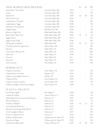#### N EW WORLD RED BLENDS 602 902 BIL

| $\perp$ $\vee$ $\perp$ $\vee$ $\vee$<br>M OITED ITED DEEND'S |                         |      |    |                          |     |
|--------------------------------------------------------------|-------------------------|------|----|--------------------------|-----|
| Aluel Cellars 'The Scholar'                                  | Columbia Valley, WA     | 2014 |    |                          | 51  |
| Corliss                                                      | Columbia Valley, WA     | 2014 |    |                          | 175 |
| DeLille 'D2'                                                 | Columbia Valley, WA     | 2019 | 22 | 28                       | 86  |
| Efeste 'Final-Final'                                         | Columbia Valley, WA     | 2018 |    |                          | 70  |
| Long Shadows 'Pirouette'                                     | Columbia Valley, WA     | 2018 |    | $\overline{\phantom{a}}$ | 150 |
| Long Shadows 'Saggi'                                         | Columbia Valley, WA     | 2018 |    |                          | 110 |
| Mark Ryan 'The Dissident'                                    | Columbia Valley, WA     | 2020 |    |                          | 72  |
| Hedges Estate                                                | Red Mountain, WA        | 2018 |    | $\overline{\phantom{a}}$ | 58  |
| àMaurice 'Night Owl'                                         | Walla Walla Valley, WA  | 2014 |    |                          | 130 |
| Basel Cellars 'Merriment'                                    | Walla Walla Valley, WA  | 2016 | 16 | 21                       | 62  |
| Figgins Estate                                               | Walla Walla Valley, WA  | 2017 |    |                          | 210 |
| Figgins Estate 'Figlia'                                      | Walla Walla Valley, WA  | 2018 |    | $\overline{\phantom{a}}$ | 165 |
| Spring Valley 'Frederick'                                    | Walla Walla, WA         | 2016 | 24 | 31                       | 95  |
| Côte Bonneville 'Carriage House'                             | Yakima Valley, WA       | 2012 |    | $\qquad \qquad -$        | 105 |
| Dominus                                                      | Napa Valley, CA         | 2006 |    | $\overline{\phantom{a}}$ | 550 |
| Frank Family 'Winston Hill'                                  | Napa Valley, CA         | 2016 |    |                          | 385 |
| Opus One                                                     | Napa Valley, CA         | 2018 |    | $\overline{\phantom{a}}$ | 525 |
| Overture                                                     | Napa Valley, CA         | N.V. |    |                          | 300 |
| Quintessa                                                    | Napa Valley, CA         | 2017 |    |                          | 345 |
| Justin Isosceles                                             | Paso Robles, CA         | 2018 |    |                          | 185 |
| BORDEAUX                                                     |                         |      |    |                          |     |
| Château Cantemerle                                           | Haut-Médoc, FR          | 2014 |    |                          | 135 |
| Château Brane-Cantenac                                       | Margaux, FR             | 2015 |    | $\overline{\phantom{a}}$ | 325 |
| Château Lynch Bages Grand Cru                                | Pauillac, FR            | 2016 |    | $\qquad \qquad -$        | 375 |
| Château De Pez                                               | Saint Estèphe, FR       | 2016 |    |                          | 160 |
| Château Tronquoy-Lalande                                     | Saint Estèphe, FR       | 2016 |    |                          | 110 |
| Château Lassègue 'Cadrans de Lassègue'                       | Saint Emilion, FR       | 2018 |    |                          | 70  |
| ITALY & FRANCE                                               |                         |      |    |                          |     |
| Erste+Neue Lagrein                                           | Alto Adige, IT          | 2018 |    |                          | 48  |
| Castello Di Volpaia                                          | Chianti Classico, IT    | 2019 |    |                          | 65  |
| A&G Natale Fantina 'Cascina Dardi Barolo                     | Piedmont, IT            | 2013 |    |                          | 150 |
| Demarie Nebbiolo                                             | Piedmont, IT            | 2016 |    |                          | 47  |
| Produttori 'Nebbiolo'                                        | Piedmont, IT            | 2019 | 16 | 21                       | 62  |
| Fontanafredda Barbaresco                                     | Piedmont, IT            | 2015 |    |                          | 90  |
| Massolino 'Serralunga d'Alba' Barolo                         | Piedmont, IT            | 2017 |    |                          | 125 |
| Vietti 'Castiglione' Barolo                                  | Piedmont, IT            | 2017 |    |                          | 145 |
| Arcanum Cabernet Franc                                       | Tuscany, IT             | 2015 |    | $\overline{\phantom{a}}$ | 165 |
| Château de Beaucastel                                        | Châteauneuf-du-Pape, FR | 2006 |    |                          | 340 |

Domaine du Pegau Châteauneuf-du-Pape, FR 2019 - - 165 Coudoulet de Beaucastel Côtes du Rhône, FR 2019 22 28 84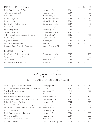| ROAD LESS TRAVELED                        |                        |      | 6 <sub>oz</sub> | 9 <sub>oz</sub>          | <b>BTL</b> |
|-------------------------------------------|------------------------|------|-----------------|--------------------------|------------|
| Frank Family Vineyards Zinfandel          | Napa Valley, CA        | 2018 |                 |                          | 105        |
| Turley 'Juvenile' Zinfandel               | Napa Valley, CA        | 2019 |                 |                          | 88         |
| DeLille Metier                            | Yakima Valley, WA      | 2019 |                 |                          | 115        |
| Leonetti Sangiovese                       | Walla Walla Valley, WA | 2019 |                 | $\overline{\phantom{a}}$ | 190        |
| Leonetti Merlot                           | Walla Walla Valley, WA | 2019 |                 |                          | 195        |
| Long Shadows 'Pedestal' Merlot            | Columbia Valley, WA    | 2017 |                 | $\overline{\phantom{a}}$ | 145        |
| Northstar Merlot                          | Columbia Valley, WA    | 2018 |                 |                          | 62         |
| Frank Family Merlot                       | Napa Valley, CA        | 2018 |                 |                          | 102        |
| Secret Squirrel GSM                       | Columbia Valley, WA    | 2017 |                 |                          | 58         |
| W.T. Vintners 'Boushey Vineyard' Grenache | Yakima Valley, WA      | 2016 |                 | $\overline{\phantom{a}}$ | 105        |
| Fidelitas Malbec                          | Red Mountain, WA       | 2018 |                 |                          | 125        |
| Luigi Bosca Malbec                        | Mendoza, AR            | 2019 | 18              | 24                       | 70         |
| Marqués de Murrieta 'Reserva'             | Rioja, SP              | 2016 |                 |                          | 75         |
| Lapostolle 'Cuvee Alexandre' Carmenere    | Valle de Colchagua, CI | 2020 |                 |                          | 63         |
| I ARCE FOR MAT                            |                        |      |                 |                          |            |

### LARGE FORMAT Long Shadows 'Pedestal' Merlot 1.5L Columbia Valley, WA 2017 - - 295

| LONG SHAUOWS FEUESLAI IVIENOL I.JL      | COlumbia valley, VVA | $2 \cup 11$ |        | $-2$    |
|-----------------------------------------|----------------------|-------------|--------|---------|
| Long Shadows 'Pirouette' Red Blend 1.5L | Columbia Valley, WA  | 2017        |        | - 295   |
| Opus One 1.5L                           | Napa Valley, CA      | 2016        |        | $-1200$ |
| Raul Perez 'Atalier' Albariño 1.5L      | Rías Baixas, ESP     | 2018        | $\sim$ | 135     |
|                                         |                      |             |        |         |

Legacy List

### ICONIC WINE, INCREDIBLE VALUE

| Veuve Clicquot 'La Grande Dame' Rosé                                    | Champagne, FR           | 2008 |                          | 695 |
|-------------------------------------------------------------------------|-------------------------|------|--------------------------|-----|
| Domain Leflaive 'Le Clavoillon' 1er Cru Chardonnay                      | Côte-d'Or, FR           | 2018 | $\overline{\phantom{a}}$ | 485 |
| Clos de la Couée de Serrant                                             | Loire Valley, FR        | 1998 | $\overline{\phantom{0}}$ | 420 |
| Dalle Valle 'Maya' Cab Franc                                            | Napa Valley, CA         | 2011 | $\overline{\phantom{0}}$ | 750 |
| Klipsun Vineyard Cabernet Sauvignon                                     | Red Mountain, WA        | 2017 | $\overline{\phantom{a}}$ | 400 |
| DeLille Cellars 'Grand Ciel' Cabernet Sauvignon                         | Red Mountain, WA        | 2012 | $\overline{\phantom{a}}$ | 425 |
| Dalla Valle Cabernet Sauvignon                                          | Napa Valley, CA         | 2014 | $\overline{\phantom{m}}$ | 525 |
| Dunn 'Howell Mountain' Cabernet Sauvignon                               | Napa Valley, CA         | 2016 | $\overline{\phantom{a}}$ | 428 |
| Paul Hobbs 'Beckstoffer Las Piedras' Cabernet Sauvignon Napa Valley, CA |                         | 2013 | $\overline{\phantom{a}}$ | 725 |
| Dominus Red Blend                                                       | Napa Valley, CA         | 2006 | $\overline{\phantom{a}}$ | 550 |
| Frank Family 'Winston Hill' Red Blend                                   | Napa Valley, CA         | 2016 | $\overline{\phantom{a}}$ | 385 |
| Opus One Red Blend                                                      | Napa Valley, CA         | 2017 | $\overline{\phantom{a}}$ | 525 |
| Quintessa 'Rutherford' Red Blend                                        | Napa Valley, CA         | 2017 | $\overline{\phantom{a}}$ | 345 |
| Château de Beaucastel                                                   | Châteauneuf-du-Pape, FR | 2006 | $\equiv$                 | 340 |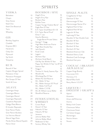# **SPIRITS**

### VODKA

| Belvedere           | 13 |
|---------------------|----|
| Chopin              | 13 |
| Grey Goose          | 13 |
| Ketel One           | 12 |
| Ketel One Botanical | 12 |
| Tito's              | 12 |
| Wheatley            |    |

### GIN

| 12 |
|----|
| 12 |
| 12 |
| 13 |
| 12 |
| 14 |
| 13 |
| 11 |
|    |

### RUM

| Bacardi 4 Year        | 12 |
|-----------------------|----|
| Captain Morgan Spiced | 11 |
| Plantation 3 Star     | 11 |
| Plantation Pineapple  | 12 |
| Ron Zacapa 23 Year    | 15 |
| Smith & Cross         | 11 |

### AGAV E

| Casamigos Anejo             | 22  |
|-----------------------------|-----|
| Casamigos Blanco            | 18  |
| Casamigos Mezcal            | 24  |
| Casamigos Reposado          | 20  |
| Cazadores Reposado          | 13  |
| Código Plata Blanco         | 12  |
| El Jimador Reposado         | 11  |
| Gran Patron Piedra          | 100 |
| Gran Patron Burdeos         | 120 |
| Los Vecinos Mezcal          | 12  |
| Mezcal Vago Elote           | 18  |
| Pierde Almas Mezcal Espadin | 20  |
| Patron Silver               | 16  |

### BOURBON / RYE

| 3              | Angel's Envy                        | 16 |
|----------------|-------------------------------------|----|
| 3              | Angel's Envy Rye                    | 22 |
| 3              | <b>Bookers Noe</b>                  | 35 |
|                | <b>Buffalo Trace</b>                | 12 |
| $\geq$         | Copper Tounge 'Orphan Barrel'       | 65 |
| $\geq$         | Eagle Rare 10 Year                  | 18 |
| $\overline{a}$ | E.H. Taylor Small Batch B-I-B       | 16 |
| $\bigcup$      | E.H. Taylor Barrel Proof            | 38 |
|                | Elmer T. Lee                        | 20 |
|                | Gaucho Blantons                     |    |
| $\overline{2}$ | Single Barrel Private Select        | 34 |
|                | George T. Stagg                     | 98 |
| $\overline{a}$ | High West American Prairie          | 14 |
| $\geq$         | High West Double Rye                | 14 |
| 3              | Jack Daniel's                       | 11 |
| $\geq$         | Knob Creek                          | 12 |
| 4              | Legent                              | 13 |
| 3              | Michters Rye                        | 14 |
| 1              | Michters Small Batch                | 14 |
|                | Old Rip Van Winkle 10 Year          | 90 |
|                | Pappy Van Winkle 12 Year 'Lot B'125 |    |
|                | Sazerac Rye                         | 12 |
| $\overline{a}$ | Stagg Jr.                           | 16 |
| 1              | Thomas H. Handy Sazerac Rye         | 70 |
| 1              | Woodinville                         | 14 |
| $\overline{a}$ | Whistlepig Rye 10 Year              | 22 |
| $\bar{5}$      | Willett Pot Still Reserve           | 16 |
| 1              | W.L. Weller 12 Year                 | 28 |
|                | W.L. Weller Antique 107 Proof       | 24 |
|                | W.L. Weller Full Proof              | 24 |
|                | W.L. Weller C.Y.P.B.                | 40 |
| $\overline{a}$ | W.L.W. William Larue Weller         | 85 |
| $\overline{3}$ | Woodford Reserve                    | 14 |
| $\overline{4}$ |                                     |    |
| C              | INTERNATIONAL                       |    |

### WHISKEY Crown Royal 11

| 1              | Dewar's 12 Year      | 10 |
|----------------|----------------------|----|
| ) ()           | Hakushu 12 Year      | 24 |
| $\Omega$       | Hakushu 18 Year      | 98 |
| $\overline{2}$ | Jameson              | 11 |
| 8              | Johnnie Walker Red   | 11 |
|                | Johnnie Walker Black | 14 |
| 0              | Redbreast 12 Year    | 15 |
| 6              | Suntory Whisky Toki  | 14 |
|                |                      |    |

### SINGLE MALTS

| Craigellachie 13 Year        | 15 |
|------------------------------|----|
| Glenlivet 12 Year            | 15 |
| Glenmorangie 10 Year         | 15 |
| Glenmorangie Nectar D'or     | 22 |
| Highland Park 12 Year        | 18 |
| Highland Park 18 Year        | 35 |
| Lagavulin 16 Year            | 25 |
| Laphroaig 10 Year            | 16 |
| Macallan 12 Year Double Cask | 16 |
| Macallan 18 Year             | 55 |
| Mortlach 12 Year             | 15 |
| Mortlach 16 Year             | 22 |
| Mortlach 20 Year             | 60 |
| <b>Westland American Oak</b> | 16 |
| Westland Sherry Cask         | 16 |
| Westland Cask Exchange       | 30 |
| Westland Garryana            | 40 |
|                              |    |

#### COGNAC / BRANDY ARMAGNAC

| Copper Kings Brandy | 11 |
|---------------------|----|
| Courvoisier X.O.    | 48 |
| Hennessy V.S.       | 13 |
| Martell Blue Swift  | 18 |
| Remy Martin V.S.O.P | 14 |
|                     |    |

### LIQU EUR / DIGESTIF / GRAPPA

| Aperol               | 10 |
|----------------------|----|
| Amaretto             | 8  |
| Amaro dell'Erborista | 16 |
| Averna               | 10 |
| Baileys Irish Cream  | 10 |
| Chartreuse Yellow    | 14 |
| Chartreuse Green     | 15 |
| Col Solare Grappa    | 22 |
| Montenegro           | 11 |
| Nonino Amaro         | 12 |
| Noveis               | 14 |
|                      |    |